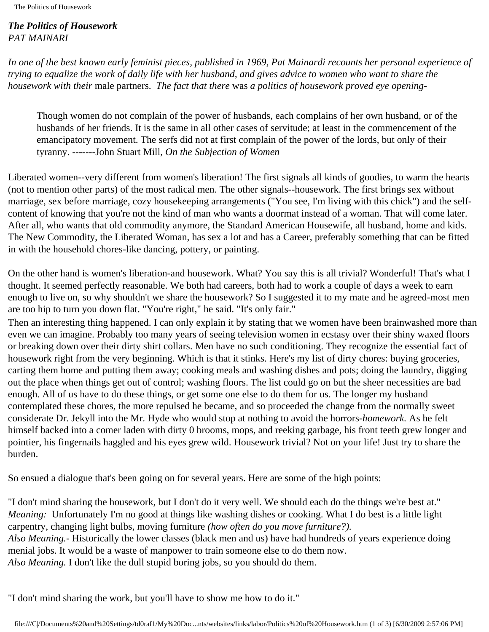*The Politics of Housework PAT MAINARI*

*In one of the best known early feminist pieces, published in 1969, Pat Mainardi recounts her personal experience of trying to equalize the work of daily life with her husband, and gives advice to women who want to share the housework with their* male partners. *The fact that there* was *a politics of housework proved eye opening-*

Though women do not complain of the power of husbands, each complains of her own husband, or of the husbands of her friends. It is the same in all other cases of servitude; at least in the commencement of the emancipatory movement. The serfs did not at first complain of the power of the lords, but only of their tyranny. -------John Stuart Mill, *On the Subjection of Women* 

Liberated women--very different from women's liberation! The first signals all kinds of goodies, to warm the hearts (not to mention other parts) of the most radical men. The other signals--housework. The first brings sex without marriage, sex before marriage, cozy housekeeping arrangements ("You see, I'm living with this chick") and the selfcontent of knowing that you're not the kind of man who wants a doormat instead of a woman. That will come later. After all, who wants that old commodity anymore, the Standard American Housewife, all husband, home and kids. The New Commodity, the Liberated Woman, has sex a lot and has a Career, preferably something that can be fitted in with the household chores-like dancing, pottery, or painting.

On the other hand is women's liberation-and housework. What? You say this is all trivial? Wonderful! That's what I thought. It seemed perfectly reasonable. We both had careers, both had to work a couple of days a week to earn enough to live on, so why shouldn't we share the housework? So I suggested it to my mate and he agreed-most men are too hip to turn you down flat. "You're right," he said. "It's only fair."

Then an interesting thing happened. I can only explain it by stating that we women have been brainwashed more than even we can imagine. Probably too many years of seeing television women in ecstasy over their shiny waxed floors or breaking down over their dirty shirt collars. Men have no such conditioning. They recognize the essential fact of housework right from the very beginning. Which is that it stinks. Here's my list of dirty chores: buying groceries, carting them home and putting them away; cooking meals and washing dishes and pots; doing the laundry, digging out the place when things get out of control; washing floors. The list could go on but the sheer necessities are bad enough. All of us have to do these things, or get some one else to do them for us. The longer my husband contemplated these chores, the more repulsed he became, and so proceeded the change from the normally sweet considerate Dr. Jekyll into the Mr. Hyde who would stop at nothing to avoid the horrors*-homework.* As he felt himself backed into a comer laden with dirty 0 brooms, mops, and reeking garbage, his front teeth grew longer and pointier, his fingernails haggled and his eyes grew wild. Housework trivial? Not on your life! Just try to share the burden.

So ensued a dialogue that's been going on for several years. Here are some of the high points:

"I don't mind sharing the housework, but I don't do it very well. We should each do the things we're best at." *Meaning:* Unfortunately I'm no good at things like washing dishes or cooking. What I do best is a little light carpentry, changing light bulbs, moving furniture *(how often do you move furniture?). Also Meaning.-* Historically the lower classes (black men and us) have had hundreds of years experience doing menial jobs. It would be a waste of manpower to train someone else to do them now. *Also Meaning.* I don't like the dull stupid boring jobs, so you should do them.

"I don't mind sharing the work, but you'll have to show me how to do it."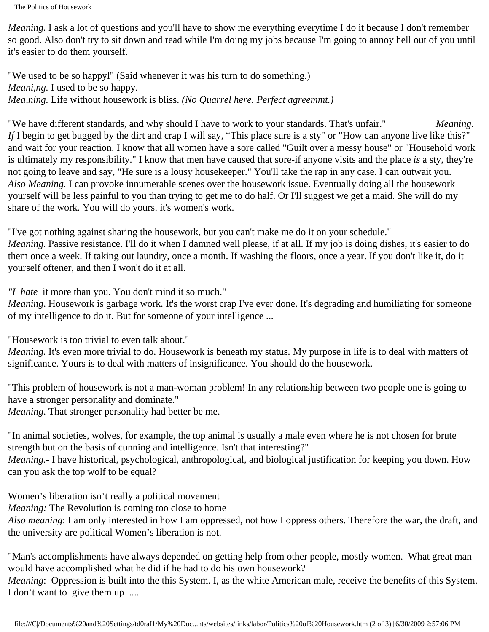```
The Politics of Housework
```
*Meaning.* I ask a lot of questions and you'll have to show me everything everytime I do it because I don't remember so good. Also don't try to sit down and read while I'm doing my jobs because I'm going to annoy hell out of you until it's easier to do them yourself.

"We used to be so happyl" (Said whenever it was his turn to do something.) *Meani,ng.* I used to be so happy. *Mea,ning.* Life without housework is bliss. *(No Quarrel here. Perfect agreemmt.)* 

"We have different standards, and why should I have to work to your standards. That's unfair." *Meaning. If* I begin to get bugged by the dirt and crap I will say, "This place sure is a sty" or "How can anyone live like this?" and wait for your reaction. I know that all women have a sore called "Guilt over a messy house" or "Household work is ultimately my responsibility." I know that men have caused that sore-if anyone visits and the place *is* a sty, they're not going to leave and say, "He sure is a lousy housekeeper." You'll take the rap in any case. I can outwait you. *Also Meaning.* I can provoke innumerable scenes over the housework issue. Eventually doing all the housework yourself will be less painful to you than trying to get me to do half. Or I'll suggest we get a maid. She will do my share of the work. You will do yours. it's women's work.

"I've got nothing against sharing the housework, but you can't make me do it on your schedule." *Meaning.* Passive resistance. I'll do it when I damned well please, if at all. If my job is doing dishes, it's easier to do them once a week. If taking out laundry, once a month. If washing the floors, once a year. If you don't like it, do it yourself oftener, and then I won't do it at all.

*"I hate* it more than you. You don't mind it so much."

*Meaning*. Housework is garbage work. It's the worst crap I've ever done. It's degrading and humiliating for someone of my intelligence to do it. But for someone of your intelligence ...

"Housework is too trivial to even talk about."

*Meaning.* It's even more trivial to do. Housework is beneath my status. My purpose in life is to deal with matters of significance. Yours is to deal with matters of insignificance. You should do the housework.

"This problem of housework is not a man-woman problem! In any relationship between two people one is going to have a stronger personality and dominate."

*Meaning*. That stronger personality had better be me.

"In animal societies, wolves, for example, the top animal is usually a male even where he is not chosen for brute strength but on the basis of cunning and intelligence. Isn't that interesting?" *Meaning.-* I have historical, psychological, anthropological, and biological justification for keeping you down. How can you ask the top wolf to be equal?

Women's liberation isn't really a political movement

*Meaning:* The Revolution is coming too close to home

*Also meaning*: I am only interested in how I am oppressed, not how I oppress others. Therefore the war, the draft, and the university are political Women's liberation is not.

"Man's accomplishments have always depended on getting help from other people, mostly women. What great man would have accomplished what he did if he had to do his own housework? *Meaning*: Oppression is built into the this System. I, as the white American male, receive the benefits of this System. I don't want to give them up ....